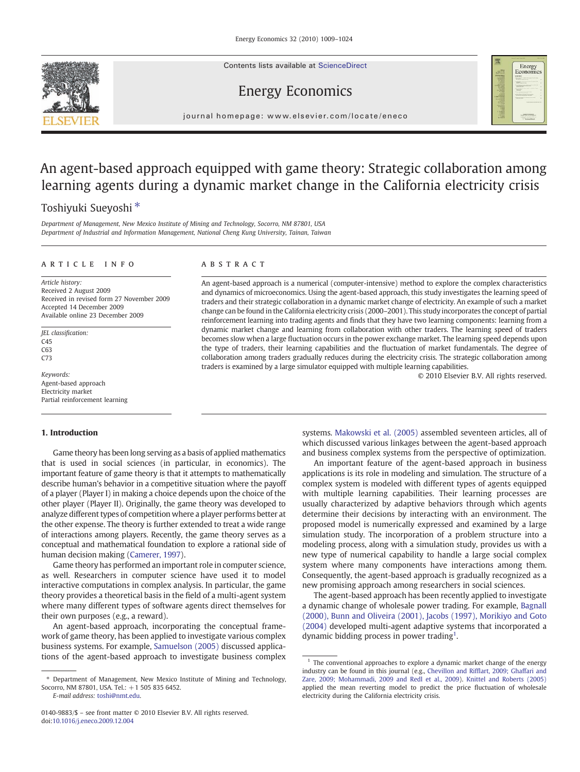Contents lists available at ScienceDirect

## Energy Economics



journal homepage: www.elsevier.com/locate/eneco

## An agent-based approach equipped with game theory: Strategic collaboration among learning agents during a dynamic market change in the California electricity crisis

## Toshiyuki Sueyoshi ⁎

Department of Management, New Mexico Institute of Mining and Technology, Socorro, NM 87801, USA Department of Industrial and Information Management, National Cheng Kung University, Tainan, Taiwan

#### article info abstract

Article history: Received 2 August 2009 Received in revised form 27 November 2009 Accepted 14 December 2009 Available online 23 December 2009

JEL classification: C45 C63 C73

Keywords: Agent-based approach Electricity market Partial reinforcement learning

### 1. Introduction

Game theory has been long serving as a basis of applied mathematics that is used in social sciences (in particular, in economics). The important feature of game theory is that it attempts to mathematically describe human's behavior in a competitive situation where the payoff of a player (Player I) in making a choice depends upon the choice of the other player (Player II). Originally, the game theory was developed to analyze different types of competition where a player performs better at the other expense. The theory is further extended to treat a wide range of interactions among players. Recently, the game theory serves as a conceptual and mathematical foundation to explore a rational side of human decision making ([Camerer, 1997](#page--1-0)).

Game theory has performed an important role in computer science, as well. Researchers in computer science have used it to model interactive computations in complex analysis. In particular, the game theory provides a theoretical basis in the field of a multi-agent system where many different types of software agents direct themselves for their own purposes (e.g., a reward).

An agent-based approach, incorporating the conceptual framework of game theory, has been applied to investigate various complex business systems. For example, [Samuelson \(2005\)](#page--1-0) discussed applications of the agent-based approach to investigate business complex

E-mail address: [toshi@nmt.edu.](mailto:toshi@nmt.edu)

An agent-based approach is a numerical (computer-intensive) method to explore the complex characteristics and dynamics of microeconomics. Using the agent-based approach, this study investigates the learning speed of traders and their strategic collaboration in a dynamic market change of electricity. An example of such a market change can be found in the California electricity crisis (2000–2001). This study incorporates the concept of partial reinforcement learning into trading agents and finds that they have two learning components: learning from a dynamic market change and learning from collaboration with other traders. The learning speed of traders becomes slow when a large fluctuation occurs in the power exchange market. The learning speed depends upon the type of traders, their learning capabilities and the fluctuation of market fundamentals. The degree of collaboration among traders gradually reduces during the electricity crisis. The strategic collaboration among traders is examined by a large simulator equipped with multiple learning capabilities.

© 2010 Elsevier B.V. All rights reserved.

systems. [Makowski et al. \(2005\)](#page--1-0) assembled seventeen articles, all of which discussed various linkages between the agent-based approach and business complex systems from the perspective of optimization.

An important feature of the agent-based approach in business applications is its role in modeling and simulation. The structure of a complex system is modeled with different types of agents equipped with multiple learning capabilities. Their learning processes are usually characterized by adaptive behaviors through which agents determine their decisions by interacting with an environment. The proposed model is numerically expressed and examined by a large simulation study. The incorporation of a problem structure into a modeling process, along with a simulation study, provides us with a new type of numerical capability to handle a large social complex system where many components have interactions among them. Consequently, the agent-based approach is gradually recognized as a new promising approach among researchers in social sciences.

The agent-based approach has been recently applied to investigate a dynamic change of wholesale power trading. For example, [Bagnall](#page--1-0) [\(2000\), Bunn and Oliveira \(2001\), Jacobs \(1997\), Morikiyo and Goto](#page--1-0) [\(2004\)](#page--1-0) developed multi-agent adaptive systems that incorporated a dynamic bidding process in power trading<sup>1</sup>.



<sup>⁎</sup> Department of Management, New Mexico Institute of Mining and Technology, Socorro, NM 87801, USA. Tel.: +1 505 835 6452.

<sup>0140-9883/\$</sup> – see front matter © 2010 Elsevier B.V. All rights reserved. doi:[10.1016/j.eneco.2009.12.004](http://dx.doi.org/10.1016/j.eneco.2009.12.004)

 $1$  The conventional approaches to explore a dynamic market change of the energy industry can be found in this journal (e.g., Chevillon and Riffl[art, 2009; Ghaffari and](#page--1-0) [Zare, 2009; Mohammadi, 2009 and Redl et al., 2009\)](#page--1-0). [Knittel and Roberts \(2005\)](#page--1-0) applied the mean reverting model to predict the price fluctuation of wholesale electricity during the California electricity crisis.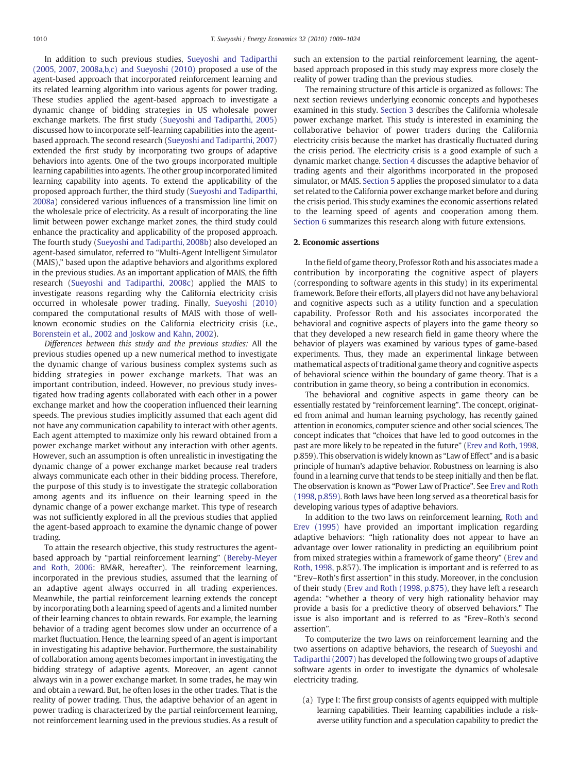In addition to such previous studies, [Sueyoshi and Tadiparthi](#page--1-0) [\(2005, 2007, 2008a,b,c\) and Sueyoshi \(2010\)](#page--1-0) proposed a use of the agent-based approach that incorporated reinforcement learning and its related learning algorithm into various agents for power trading. These studies applied the agent-based approach to investigate a dynamic change of bidding strategies in US wholesale power exchange markets. The first study ([Sueyoshi and Tadiparthi, 2005](#page--1-0)) discussed how to incorporate self-learning capabilities into the agentbased approach. The second research [\(Sueyoshi and Tadiparthi, 2007](#page--1-0)) extended the first study by incorporating two groups of adaptive behaviors into agents. One of the two groups incorporated multiple learning capabilities into agents. The other group incorporated limited learning capability into agents. To extend the applicability of the proposed approach further, the third study [\(Sueyoshi and Tadiparthi,](#page--1-0) [2008a](#page--1-0)) considered various influences of a transmission line limit on the wholesale price of electricity. As a result of incorporating the line limit between power exchange market zones, the third study could enhance the practicality and applicability of the proposed approach. The fourth study ([Sueyoshi and Tadiparthi, 2008b](#page--1-0)) also developed an agent-based simulator, referred to "Multi-Agent Intelligent Simulator (MAIS)," based upon the adaptive behaviors and algorithms explored in the previous studies. As an important application of MAIS, the fifth research [\(Sueyoshi and Tadiparthi, 2008c\)](#page--1-0) applied the MAIS to investigate reasons regarding why the California electricity crisis occurred in wholesale power trading. Finally, [Sueyoshi \(2010\)](#page--1-0) compared the computational results of MAIS with those of wellknown economic studies on the California electricity crisis (i.e., [Borenstein et al., 2002 and Joskow and Kahn, 2002](#page--1-0)).

Differences between this study and the previous studies: All the previous studies opened up a new numerical method to investigate the dynamic change of various business complex systems such as bidding strategies in power exchange markets. That was an important contribution, indeed. However, no previous study investigated how trading agents collaborated with each other in a power exchange market and how the cooperation influenced their learning speeds. The previous studies implicitly assumed that each agent did not have any communication capability to interact with other agents. Each agent attempted to maximize only his reward obtained from a power exchange market without any interaction with other agents. However, such an assumption is often unrealistic in investigating the dynamic change of a power exchange market because real traders always communicate each other in their bidding process. Therefore, the purpose of this study is to investigate the strategic collaboration among agents and its influence on their learning speed in the dynamic change of a power exchange market. This type of research was not sufficiently explored in all the previous studies that applied the agent-based approach to examine the dynamic change of power trading.

To attain the research objective, this study restructures the agentbased approach by "partial reinforcement learning" [\(Bereby-Meyer](#page--1-0) [and Roth, 2006](#page--1-0): BM&R, hereafter). The reinforcement learning, incorporated in the previous studies, assumed that the learning of an adaptive agent always occurred in all trading experiences. Meanwhile, the partial reinforcement learning extends the concept by incorporating both a learning speed of agents and a limited number of their learning chances to obtain rewards. For example, the learning behavior of a trading agent becomes slow under an occurrence of a market fluctuation. Hence, the learning speed of an agent is important in investigating his adaptive behavior. Furthermore, the sustainability of collaboration among agents becomes important in investigating the bidding strategy of adaptive agents. Moreover, an agent cannot always win in a power exchange market. In some trades, he may win and obtain a reward. But, he often loses in the other trades. That is the reality of power trading. Thus, the adaptive behavior of an agent in power trading is characterized by the partial reinforcement learning, not reinforcement learning used in the previous studies. As a result of such an extension to the partial reinforcement learning, the agentbased approach proposed in this study may express more closely the reality of power trading than the previous studies.

The remaining structure of this article is organized as follows: The next section reviews underlying economic concepts and hypotheses examined in this study. [Section 3](#page--1-0) describes the California wholesale power exchange market. This study is interested in examining the collaborative behavior of power traders during the California electricity crisis because the market has drastically fluctuated during the crisis period. The electricity crisis is a good example of such a dynamic market change. [Section 4](#page--1-0) discusses the adaptive behavior of trading agents and their algorithms incorporated in the proposed simulator, or MAIS. [Section 5](#page--1-0) applies the proposed simulator to a data set related to the California power exchange market before and during the crisis period. This study examines the economic assertions related to the learning speed of agents and cooperation among them. [Section 6](#page--1-0) summarizes this research along with future extensions.

#### 2. Economic assertions

In the field of game theory, Professor Roth and his associates made a contribution by incorporating the cognitive aspect of players (corresponding to software agents in this study) in its experimental framework. Before their efforts, all players did not have any behavioral and cognitive aspects such as a utility function and a speculation capability. Professor Roth and his associates incorporated the behavioral and cognitive aspects of players into the game theory so that they developed a new research field in game theory where the behavior of players was examined by various types of game-based experiments. Thus, they made an experimental linkage between mathematical aspects of traditional game theory and cognitive aspects of behavioral science within the boundary of game theory. That is a contribution in game theory, so being a contribution in economics.

The behavioral and cognitive aspects in game theory can be essentially restated by "reinforcement learning". The concept, originated from animal and human learning psychology, has recently gained attention in economics, computer science and other social sciences. The concept indicates that "choices that have led to good outcomes in the past are more likely to be repeated in the future" ([Erev and Roth, 1998,](#page--1-0) p.859). This observation is widely known as "Law of Effect" and is a basic principle of human's adaptive behavior. Robustness on learning is also found in a learning curve that tends to be steep initially and then be flat. The observation is known as "Power Law of Practice". See [Erev and Roth](#page--1-0) [\(1998, p.859\).](#page--1-0) Both laws have been long served as a theoretical basis for developing various types of adaptive behaviors.

In addition to the two laws on reinforcement learning, [Roth and](#page--1-0) [Erev \(1995\)](#page--1-0) have provided an important implication regarding adaptive behaviors: "high rationality does not appear to have an advantage over lower rationality in predicting an equilibrium point from mixed strategies within a framework of game theory" [\(Erev and](#page--1-0) [Roth, 1998](#page--1-0), p.857). The implication is important and is referred to as "Erev–Roth's first assertion" in this study. Moreover, in the conclusion of their study ([Erev and Roth \(1998, p.875\)](#page--1-0), they have left a research agenda: "whether a theory of very high rationality behavior may provide a basis for a predictive theory of observed behaviors." The issue is also important and is referred to as "Erev–Roth's second assertion".

To computerize the two laws on reinforcement learning and the two assertions on adaptive behaviors, the research of [Sueyoshi and](#page--1-0) [Tadiparthi \(2007\)](#page--1-0) has developed the following two groups of adaptive software agents in order to investigate the dynamics of wholesale electricity trading.

(a) Type I: The first group consists of agents equipped with multiple learning capabilities. Their learning capabilities include a riskaverse utility function and a speculation capability to predict the